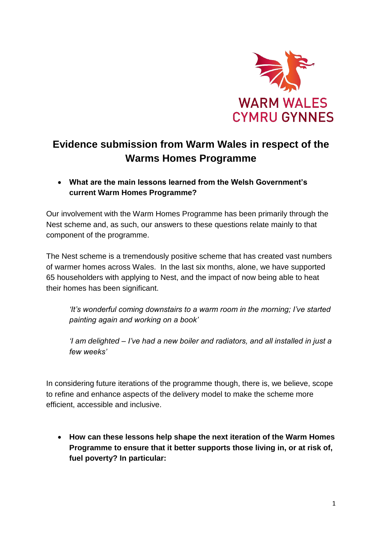

# **Evidence submission from Warm Wales in respect of the Warms Homes Programme**

 **What are the main lessons learned from the Welsh Government's current Warm Homes Programme?** 

Our involvement with the Warm Homes Programme has been primarily through the Nest scheme and, as such, our answers to these questions relate mainly to that component of the programme.

The Nest scheme is a tremendously positive scheme that has created vast numbers of warmer homes across Wales. In the last six months, alone, we have supported 65 householders with applying to Nest, and the impact of now being able to heat their homes has been significant.

*'It's wonderful coming downstairs to a warm room in the morning; I've started painting again and working on a book'*

*'I am delighted – I've had a new boiler and radiators, and all installed in just a few weeks'*

In considering future iterations of the programme though, there is, we believe, scope to refine and enhance aspects of the delivery model to make the scheme more efficient, accessible and inclusive.

 **How can these lessons help shape the next iteration of the Warm Homes Programme to ensure that it better supports those living in, or at risk of, fuel poverty? In particular:**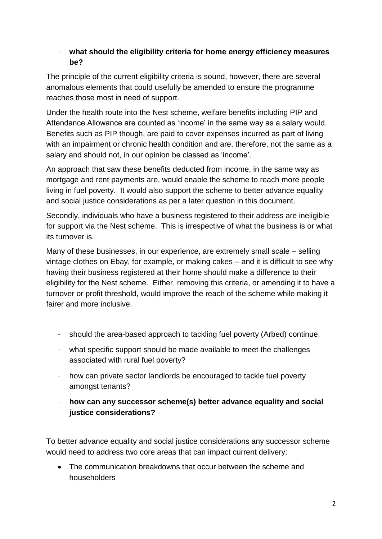#### - **what should the eligibility criteria for home energy efficiency measures be?**

The principle of the current eligibility criteria is sound, however, there are several anomalous elements that could usefully be amended to ensure the programme reaches those most in need of support.

Under the health route into the Nest scheme, welfare benefits including PIP and Attendance Allowance are counted as 'income' in the same way as a salary would. Benefits such as PIP though, are paid to cover expenses incurred as part of living with an impairment or chronic health condition and are, therefore, not the same as a salary and should not, in our opinion be classed as 'income'.

An approach that saw these benefits deducted from income, in the same way as mortgage and rent payments are, would enable the scheme to reach more people living in fuel poverty. It would also support the scheme to better advance equality and social justice considerations as per a later question in this document.

Secondly, individuals who have a business registered to their address are ineligible for support via the Nest scheme. This is irrespective of what the business is or what its turnover is.

Many of these businesses, in our experience, are extremely small scale – selling vintage clothes on Ebay, for example, or making cakes – and it is difficult to see why having their business registered at their home should make a difference to their eligibility for the Nest scheme. Either, removing this criteria, or amending it to have a turnover or profit threshold, would improve the reach of the scheme while making it fairer and more inclusive.

- should the area-based approach to tackling fuel poverty (Arbed) continue,
- what specific support should be made available to meet the challenges associated with rural fuel poverty?
- how can private sector landlords be encouraged to tackle fuel poverty amongst tenants?
- **how can any successor scheme(s) better advance equality and social justice considerations?**

To better advance equality and social justice considerations any successor scheme would need to address two core areas that can impact current delivery:

 The communication breakdowns that occur between the scheme and householders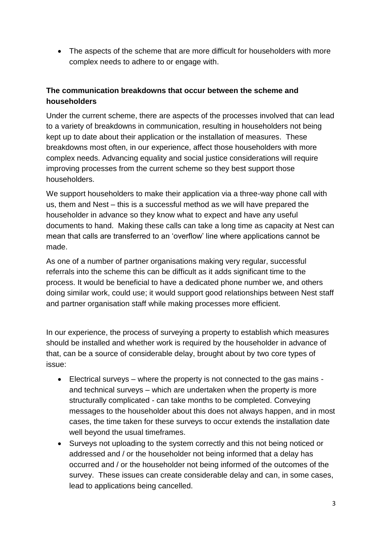• The aspects of the scheme that are more difficult for householders with more complex needs to adhere to or engage with.

#### **The communication breakdowns that occur between the scheme and householders**

Under the current scheme, there are aspects of the processes involved that can lead to a variety of breakdowns in communication, resulting in householders not being kept up to date about their application or the installation of measures. These breakdowns most often, in our experience, affect those householders with more complex needs. Advancing equality and social justice considerations will require improving processes from the current scheme so they best support those householders.

We support householders to make their application via a three-way phone call with us, them and Nest – this is a successful method as we will have prepared the householder in advance so they know what to expect and have any useful documents to hand. Making these calls can take a long time as capacity at Nest can mean that calls are transferred to an 'overflow' line where applications cannot be made.

As one of a number of partner organisations making very regular, successful referrals into the scheme this can be difficult as it adds significant time to the process. It would be beneficial to have a dedicated phone number we, and others doing similar work, could use; it would support good relationships between Nest staff and partner organisation staff while making processes more efficient.

In our experience, the process of surveying a property to establish which measures should be installed and whether work is required by the householder in advance of that, can be a source of considerable delay, brought about by two core types of issue:

- Electrical surveys where the property is not connected to the gas mains and technical surveys – which are undertaken when the property is more structurally complicated - can take months to be completed. Conveying messages to the householder about this does not always happen, and in most cases, the time taken for these surveys to occur extends the installation date well beyond the usual timeframes.
- Surveys not uploading to the system correctly and this not being noticed or addressed and / or the householder not being informed that a delay has occurred and / or the householder not being informed of the outcomes of the survey. These issues can create considerable delay and can, in some cases, lead to applications being cancelled.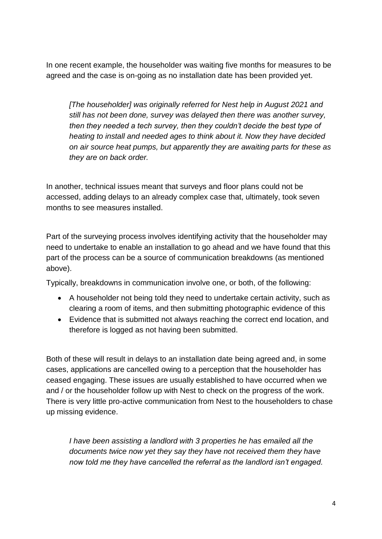In one recent example, the householder was waiting five months for measures to be agreed and the case is on-going as no installation date has been provided yet.

*[The householder] was originally referred for Nest help in August 2021 and still has not been done, survey was delayed then there was another survey, then they needed a tech survey, then they couldn't decide the best type of heating to install and needed ages to think about it. Now they have decided on air source heat pumps, but apparently they are awaiting parts for these as they are on back order.*

In another, technical issues meant that surveys and floor plans could not be accessed, adding delays to an already complex case that, ultimately, took seven months to see measures installed.

Part of the surveying process involves identifying activity that the householder may need to undertake to enable an installation to go ahead and we have found that this part of the process can be a source of communication breakdowns (as mentioned above).

Typically, breakdowns in communication involve one, or both, of the following:

- A householder not being told they need to undertake certain activity, such as clearing a room of items, and then submitting photographic evidence of this
- Evidence that is submitted not always reaching the correct end location, and therefore is logged as not having been submitted.

Both of these will result in delays to an installation date being agreed and, in some cases, applications are cancelled owing to a perception that the householder has ceased engaging. These issues are usually established to have occurred when we and / or the householder follow up with Nest to check on the progress of the work. There is very little pro-active communication from Nest to the householders to chase up missing evidence.

*I have been assisting a landlord with 3 properties he has emailed all the documents twice now yet they say they have not received them they have now told me they have cancelled the referral as the landlord isn't engaged.*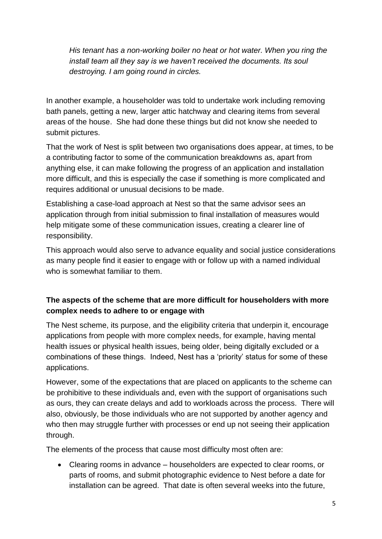*His tenant has a non-working boiler no heat or hot water. When you ring the install team all they say is we haven't received the documents. Its soul destroying. I am going round in circles.*

In another example, a householder was told to undertake work including removing bath panels, getting a new, larger attic hatchway and clearing items from several areas of the house. She had done these things but did not know she needed to submit pictures.

That the work of Nest is split between two organisations does appear, at times, to be a contributing factor to some of the communication breakdowns as, apart from anything else, it can make following the progress of an application and installation more difficult, and this is especially the case if something is more complicated and requires additional or unusual decisions to be made.

Establishing a case-load approach at Nest so that the same advisor sees an application through from initial submission to final installation of measures would help mitigate some of these communication issues, creating a clearer line of responsibility.

This approach would also serve to advance equality and social justice considerations as many people find it easier to engage with or follow up with a named individual who is somewhat familiar to them.

## **The aspects of the scheme that are more difficult for householders with more complex needs to adhere to or engage with**

The Nest scheme, its purpose, and the eligibility criteria that underpin it, encourage applications from people with more complex needs, for example, having mental health issues or physical health issues, being older, being digitally excluded or a combinations of these things. Indeed, Nest has a 'priority' status for some of these applications.

However, some of the expectations that are placed on applicants to the scheme can be prohibitive to these individuals and, even with the support of organisations such as ours, they can create delays and add to workloads across the process. There will also, obviously, be those individuals who are not supported by another agency and who then may struggle further with processes or end up not seeing their application through.

The elements of the process that cause most difficulty most often are:

 Clearing rooms in advance – householders are expected to clear rooms, or parts of rooms, and submit photographic evidence to Nest before a date for installation can be agreed. That date is often several weeks into the future,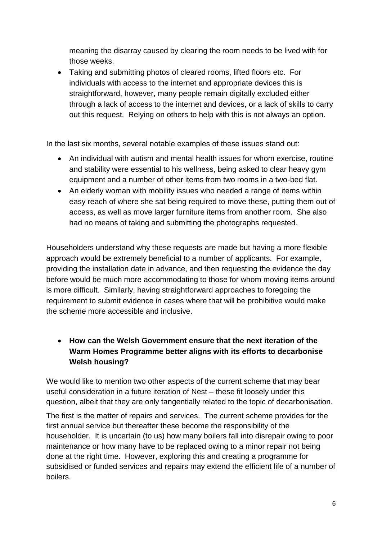meaning the disarray caused by clearing the room needs to be lived with for those weeks.

 Taking and submitting photos of cleared rooms, lifted floors etc. For individuals with access to the internet and appropriate devices this is straightforward, however, many people remain digitally excluded either through a lack of access to the internet and devices, or a lack of skills to carry out this request. Relying on others to help with this is not always an option.

In the last six months, several notable examples of these issues stand out:

- An individual with autism and mental health issues for whom exercise, routine and stability were essential to his wellness, being asked to clear heavy gym equipment and a number of other items from two rooms in a two-bed flat.
- An elderly woman with mobility issues who needed a range of items within easy reach of where she sat being required to move these, putting them out of access, as well as move larger furniture items from another room. She also had no means of taking and submitting the photographs requested.

Householders understand why these requests are made but having a more flexible approach would be extremely beneficial to a number of applicants. For example, providing the installation date in advance, and then requesting the evidence the day before would be much more accommodating to those for whom moving items around is more difficult. Similarly, having straightforward approaches to foregoing the requirement to submit evidence in cases where that will be prohibitive would make the scheme more accessible and inclusive.

## **How can the Welsh Government ensure that the next iteration of the Warm Homes Programme better aligns with its efforts to decarbonise Welsh housing?**

We would like to mention two other aspects of the current scheme that may bear useful consideration in a future iteration of Nest – these fit loosely under this question, albeit that they are only tangentially related to the topic of decarbonisation.

The first is the matter of repairs and services. The current scheme provides for the first annual service but thereafter these become the responsibility of the householder. It is uncertain (to us) how many boilers fall into disrepair owing to poor maintenance or how many have to be replaced owing to a minor repair not being done at the right time. However, exploring this and creating a programme for subsidised or funded services and repairs may extend the efficient life of a number of boilers.